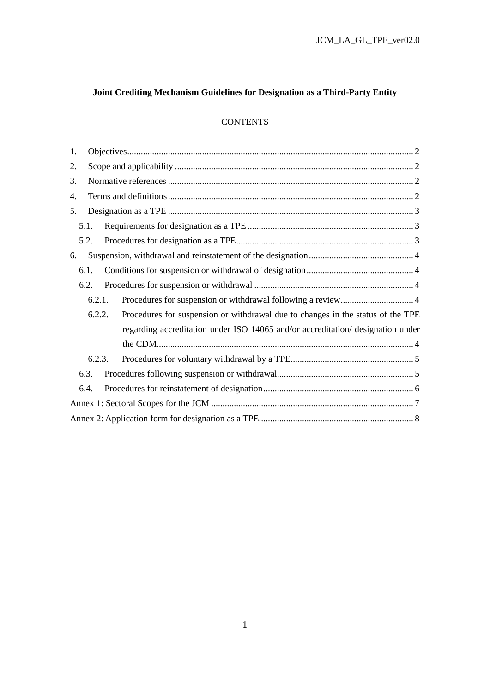## **Joint Crediting Mechanism Guidelines for Designation as a Third-Party Entity**

## **CONTENTS**

| 1. |        |  |                                                                                 |  |  |  |
|----|--------|--|---------------------------------------------------------------------------------|--|--|--|
| 2. |        |  |                                                                                 |  |  |  |
| 3. |        |  |                                                                                 |  |  |  |
| 4. |        |  |                                                                                 |  |  |  |
| 5. |        |  |                                                                                 |  |  |  |
|    | 5.1.   |  |                                                                                 |  |  |  |
|    | 5.2.   |  |                                                                                 |  |  |  |
| 6. |        |  |                                                                                 |  |  |  |
|    | 6.1.   |  |                                                                                 |  |  |  |
|    | 6.2.   |  |                                                                                 |  |  |  |
|    | 6.2.1. |  |                                                                                 |  |  |  |
|    | 6.2.2. |  | Procedures for suspension or withdrawal due to changes in the status of the TPE |  |  |  |
|    |        |  | regarding accreditation under ISO 14065 and/or accreditation/ designation under |  |  |  |
|    |        |  |                                                                                 |  |  |  |
|    | 6.2.3. |  |                                                                                 |  |  |  |
|    | 6.3.   |  |                                                                                 |  |  |  |
|    | 6.4.   |  |                                                                                 |  |  |  |
|    |        |  |                                                                                 |  |  |  |
|    |        |  |                                                                                 |  |  |  |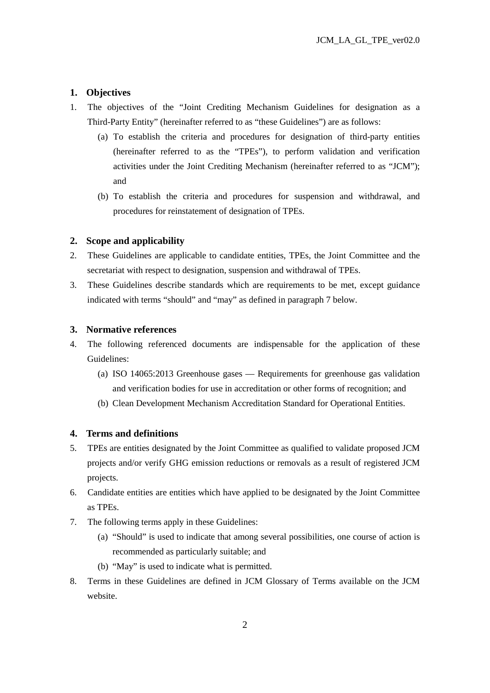## **1. Objectives**

- 1. The objectives of the "Joint Crediting Mechanism Guidelines for designation as a Third-Party Entity" (hereinafter referred to as "these Guidelines") are as follows:
	- (a) To establish the criteria and procedures for designation of third-party entities (hereinafter referred to as the "TPEs"), to perform validation and verification activities under the Joint Crediting Mechanism (hereinafter referred to as "JCM"); and
	- (b) To establish the criteria and procedures for suspension and withdrawal, and procedures for reinstatement of designation of TPEs.

### **2. Scope and applicability**

- 2. These Guidelines are applicable to candidate entities, TPEs, the Joint Committee and the secretariat with respect to designation, suspension and withdrawal of TPEs.
- 3. These Guidelines describe standards which are requirements to be met, except guidance indicated with terms "should" and "may" as defined in paragraph 7 below.

#### **3. Normative references**

- 4. The following referenced documents are indispensable for the application of these Guidelines:
	- (a) ISO 14065:2013 Greenhouse gases Requirements for greenhouse gas validation and verification bodies for use in accreditation or other forms of recognition; and
	- (b) Clean Development Mechanism Accreditation Standard for Operational Entities.

## **4. Terms and definitions**

- 5. TPEs are entities designated by the Joint Committee as qualified to validate proposed JCM projects and/or verify GHG emission reductions or removals as a result of registered JCM projects.
- 6. Candidate entities are entities which have applied to be designated by the Joint Committee as TPEs.
- 7. The following terms apply in these Guidelines:
	- (a) "Should" is used to indicate that among several possibilities, one course of action is recommended as particularly suitable; and
	- (b) "May" is used to indicate what is permitted.
- 8. Terms in these Guidelines are defined in JCM Glossary of Terms available on the JCM website.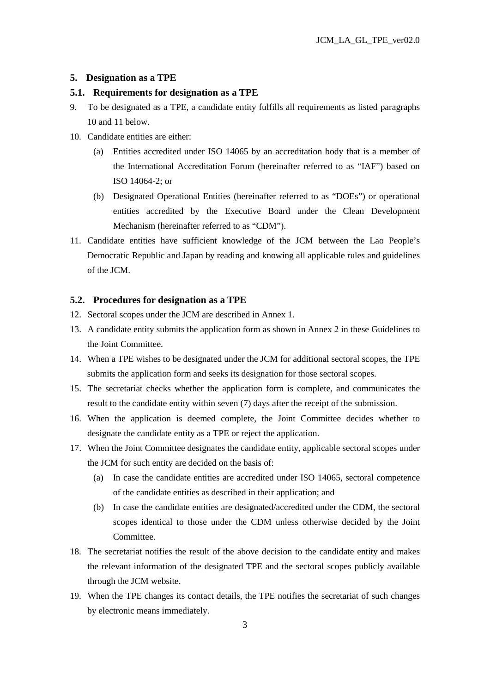#### **5. Designation as a TPE**

#### **5.1. Requirements for designation as a TPE**

- 9. To be designated as a TPE, a candidate entity fulfills all requirements as listed paragraphs 10 and 11 below.
- 10. Candidate entities are either:
	- (a) Entities accredited under ISO 14065 by an accreditation body that is a member of the International Accreditation Forum (hereinafter referred to as "IAF") based on ISO 14064-2; or
	- (b) Designated Operational Entities (hereinafter referred to as "DOEs") or operational entities accredited by the Executive Board under the Clean Development Mechanism (hereinafter referred to as "CDM").
- 11. Candidate entities have sufficient knowledge of the JCM between the Lao People's Democratic Republic and Japan by reading and knowing all applicable rules and guidelines of the JCM.

#### **5.2. Procedures for designation as a TPE**

- 12. Sectoral scopes under the JCM are described in Annex 1.
- 13. A candidate entity submits the application form as shown in Annex 2 in these Guidelines to the Joint Committee.
- 14. When a TPE wishes to be designated under the JCM for additional sectoral scopes, the TPE submits the application form and seeks its designation for those sectoral scopes.
- 15. The secretariat checks whether the application form is complete, and communicates the result to the candidate entity within seven (7) days after the receipt of the submission.
- 16. When the application is deemed complete, the Joint Committee decides whether to designate the candidate entity as a TPE or reject the application.
- 17. When the Joint Committee designates the candidate entity, applicable sectoral scopes under the JCM for such entity are decided on the basis of:
	- (a) In case the candidate entities are accredited under ISO 14065, sectoral competence of the candidate entities as described in their application; and
	- (b) In case the candidate entities are designated/accredited under the CDM, the sectoral scopes identical to those under the CDM unless otherwise decided by the Joint Committee.
- 18. The secretariat notifies the result of the above decision to the candidate entity and makes the relevant information of the designated TPE and the sectoral scopes publicly available through the JCM website.
- 19. When the TPE changes its contact details, the TPE notifies the secretariat of such changes by electronic means immediately.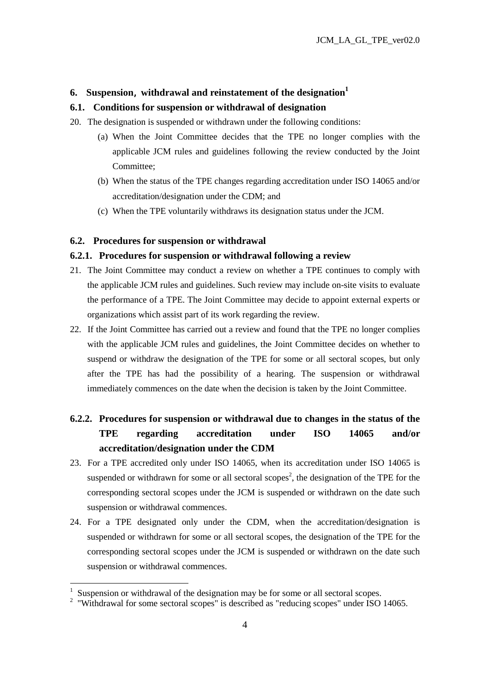#### **6. Suspension**, **withdrawal and reinstatement of the designation<sup>1</sup>**

### **6.1. Conditions for suspension or withdrawal of designation**

- 20. The designation is suspended or withdrawn under the following conditions:
	- (a) When the Joint Committee decides that the TPE no longer complies with the applicable JCM rules and guidelines following the review conducted by the Joint Committee;
	- (b) When the status of the TPE changes regarding accreditation under ISO 14065 and/or accreditation/designation under the CDM; and
	- (c) When the TPE voluntarily withdraws its designation status under the JCM.

## **6.2. Procedures for suspension or withdrawal**

#### **6.2.1. Procedures for suspension or withdrawal following a review**

- 21. The Joint Committee may conduct a review on whether a TPE continues to comply with the applicable JCM rules and guidelines. Such review may include on-site visits to evaluate the performance of a TPE. The Joint Committee may decide to appoint external experts or organizations which assist part of its work regarding the review.
- 22. If the Joint Committee has carried out a review and found that the TPE no longer complies with the applicable JCM rules and guidelines, the Joint Committee decides on whether to suspend or withdraw the designation of the TPE for some or all sectoral scopes, but only after the TPE has had the possibility of a hearing. The suspension or withdrawal immediately commences on the date when the decision is taken by the Joint Committee.

# **6.2.2. Procedures for suspension or withdrawal due to changes in the status of the TPE regarding accreditation under ISO 14065 and/or accreditation/designation under the CDM**

- 23. For a TPE accredited only under ISO 14065, when its accreditation under ISO 14065 is suspended or withdrawn for some or all sectoral scopes<sup>2</sup>, the designation of the TPE for the corresponding sectoral scopes under the JCM is suspended or withdrawn on the date such suspension or withdrawal commences.
- 24. For a TPE designated only under the CDM, when the accreditation/designation is suspended or withdrawn for some or all sectoral scopes, the designation of the TPE for the corresponding sectoral scopes under the JCM is suspended or withdrawn on the date such suspension or withdrawal commences.

1

<sup>1</sup> Suspension or withdrawal of the designation may be for some or all sectoral scopes.

<sup>&</sup>lt;sup>2</sup> "Withdrawal for some sectoral scopes" is described as "reducing scopes" under ISO 14065.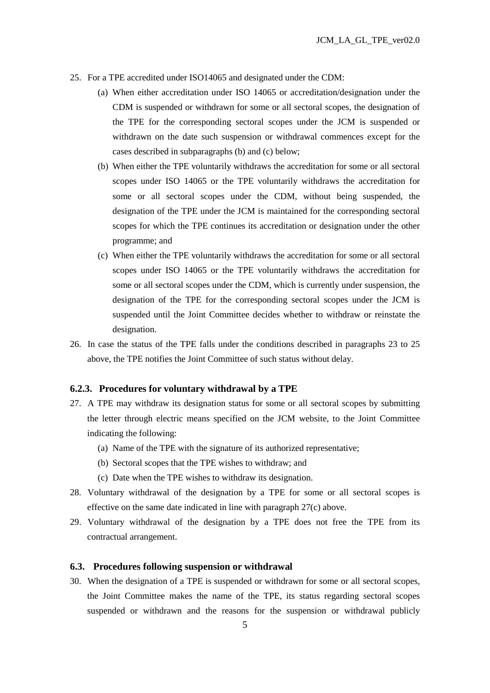- 25. For a TPE accredited under ISO14065 and designated under the CDM:
	- (a) When either accreditation under ISO 14065 or accreditation/designation under the CDM is suspended or withdrawn for some or all sectoral scopes, the designation of the TPE for the corresponding sectoral scopes under the JCM is suspended or withdrawn on the date such suspension or withdrawal commences except for the cases described in subparagraphs (b) and (c) below;
	- (b) When either the TPE voluntarily withdraws the accreditation for some or all sectoral scopes under ISO 14065 or the TPE voluntarily withdraws the accreditation for some or all sectoral scopes under the CDM, without being suspended, the designation of the TPE under the JCM is maintained for the corresponding sectoral scopes for which the TPE continues its accreditation or designation under the other programme; and
	- (c) When either the TPE voluntarily withdraws the accreditation for some or all sectoral scopes under ISO 14065 or the TPE voluntarily withdraws the accreditation for some or all sectoral scopes under the CDM, which is currently under suspension, the designation of the TPE for the corresponding sectoral scopes under the JCM is suspended until the Joint Committee decides whether to withdraw or reinstate the designation.
- 26. In case the status of the TPE falls under the conditions described in paragraphs 23 to 25 above, the TPE notifies the Joint Committee of such status without delay.

#### **6.2.3. Procedures for voluntary withdrawal by a TPE**

- 27. A TPE may withdraw its designation status for some or all sectoral scopes by submitting the letter through electric means specified on the JCM website, to the Joint Committee indicating the following:
	- (a) Name of the TPE with the signature of its authorized representative;
	- (b) Sectoral scopes that the TPE wishes to withdraw; and
	- (c) Date when the TPE wishes to withdraw its designation.
- 28. Voluntary withdrawal of the designation by a TPE for some or all sectoral scopes is effective on the same date indicated in line with paragraph 27(c) above.
- 29. Voluntary withdrawal of the designation by a TPE does not free the TPE from its contractual arrangement.

#### **6.3. Procedures following suspension or withdrawal**

30. When the designation of a TPE is suspended or withdrawn for some or all sectoral scopes, the Joint Committee makes the name of the TPE, its status regarding sectoral scopes suspended or withdrawn and the reasons for the suspension or withdrawal publicly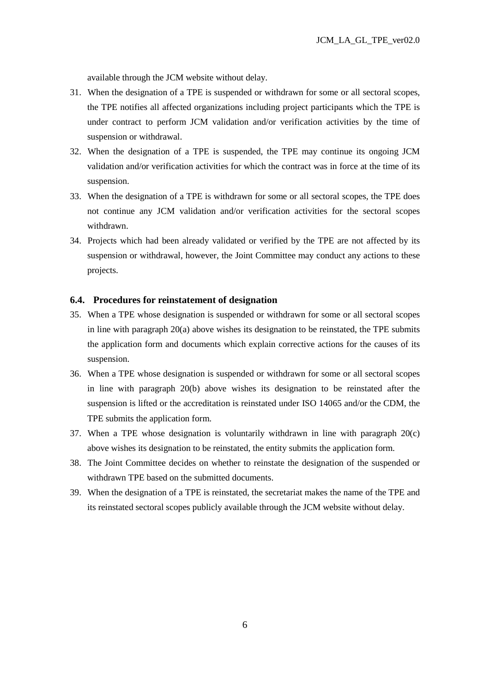available through the JCM website without delay.

- 31. When the designation of a TPE is suspended or withdrawn for some or all sectoral scopes, the TPE notifies all affected organizations including project participants which the TPE is under contract to perform JCM validation and/or verification activities by the time of suspension or withdrawal.
- 32. When the designation of a TPE is suspended, the TPE may continue its ongoing JCM validation and/or verification activities for which the contract was in force at the time of its suspension.
- 33. When the designation of a TPE is withdrawn for some or all sectoral scopes, the TPE does not continue any JCM validation and/or verification activities for the sectoral scopes withdrawn.
- 34. Projects which had been already validated or verified by the TPE are not affected by its suspension or withdrawal, however, the Joint Committee may conduct any actions to these projects.

#### **6.4. Procedures for reinstatement of designation**

- 35. When a TPE whose designation is suspended or withdrawn for some or all sectoral scopes in line with paragraph 20(a) above wishes its designation to be reinstated, the TPE submits the application form and documents which explain corrective actions for the causes of its suspension.
- 36. When a TPE whose designation is suspended or withdrawn for some or all sectoral scopes in line with paragraph 20(b) above wishes its designation to be reinstated after the suspension is lifted or the accreditation is reinstated under ISO 14065 and/or the CDM, the TPE submits the application form.
- 37. When a TPE whose designation is voluntarily withdrawn in line with paragraph 20(c) above wishes its designation to be reinstated, the entity submits the application form.
- 38. The Joint Committee decides on whether to reinstate the designation of the suspended or withdrawn TPE based on the submitted documents.
- 39. When the designation of a TPE is reinstated, the secretariat makes the name of the TPE and its reinstated sectoral scopes publicly available through the JCM website without delay.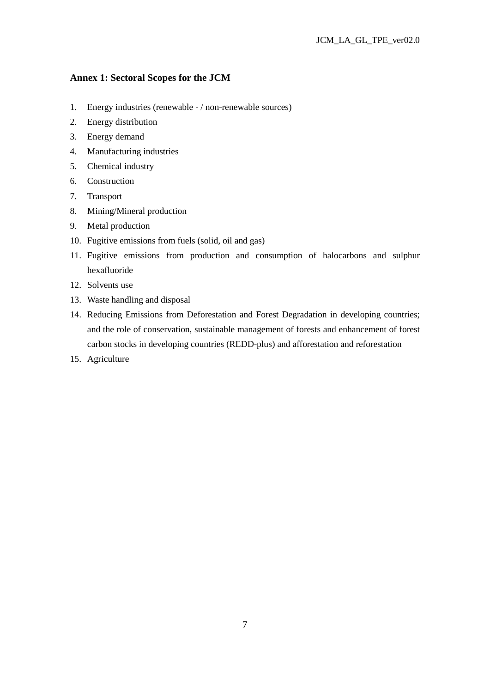## **Annex 1: Sectoral Scopes for the JCM**

- 1. Energy industries (renewable / non-renewable sources)
- 2. Energy distribution
- 3. Energy demand
- 4. Manufacturing industries
- 5. Chemical industry
- 6. Construction
- 7. Transport
- 8. Mining/Mineral production
- 9. Metal production
- 10. Fugitive emissions from fuels (solid, oil and gas)
- 11. Fugitive emissions from production and consumption of halocarbons and sulphur hexafluoride
- 12. Solvents use
- 13. Waste handling and disposal
- 14. Reducing Emissions from Deforestation and Forest Degradation in developing countries; and the role of conservation, sustainable management of forests and enhancement of forest carbon stocks in developing countries (REDD-plus) and afforestation and reforestation
- 15. Agriculture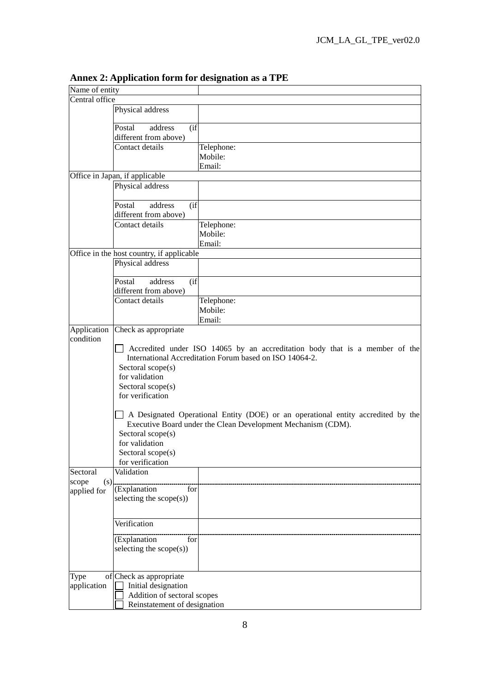| Name of entity |                                                              |                                                                                  |  |  |
|----------------|--------------------------------------------------------------|----------------------------------------------------------------------------------|--|--|
| Central office |                                                              |                                                                                  |  |  |
|                | Physical address                                             |                                                                                  |  |  |
|                |                                                              |                                                                                  |  |  |
|                | Postal<br>address<br>(i f)                                   |                                                                                  |  |  |
|                | different from above)                                        |                                                                                  |  |  |
|                | Contact details                                              | Telephone:                                                                       |  |  |
|                |                                                              | Mobile:                                                                          |  |  |
|                |                                                              | Email:                                                                           |  |  |
|                | Office in Japan, if applicable                               |                                                                                  |  |  |
|                | Physical address                                             |                                                                                  |  |  |
|                |                                                              |                                                                                  |  |  |
|                | address<br>Postal<br>$($ if                                  |                                                                                  |  |  |
|                | different from above)                                        |                                                                                  |  |  |
|                | Contact details                                              | Telephone:                                                                       |  |  |
|                |                                                              | Mobile:                                                                          |  |  |
|                |                                                              | Email:                                                                           |  |  |
|                | Office in the host country, if applicable                    |                                                                                  |  |  |
|                | Physical address                                             |                                                                                  |  |  |
|                |                                                              |                                                                                  |  |  |
|                | $($ if<br>Postal<br>address                                  |                                                                                  |  |  |
|                | different from above)                                        |                                                                                  |  |  |
|                | Contact details                                              | Telephone:                                                                       |  |  |
|                |                                                              | Mobile:                                                                          |  |  |
|                |                                                              | Email:                                                                           |  |  |
| Application    | Check as appropriate                                         |                                                                                  |  |  |
| condition      |                                                              |                                                                                  |  |  |
|                |                                                              | Accredited under ISO 14065 by an accreditation body that is a member of the      |  |  |
|                |                                                              | International Accreditation Forum based on ISO 14064-2.                          |  |  |
|                | Sectoral scope(s)                                            |                                                                                  |  |  |
|                | for validation                                               |                                                                                  |  |  |
|                | Sectoral scope(s)                                            |                                                                                  |  |  |
|                | for verification                                             |                                                                                  |  |  |
|                |                                                              |                                                                                  |  |  |
|                |                                                              | A Designated Operational Entity (DOE) or an operational entity accredited by the |  |  |
|                | Executive Board under the Clean Development Mechanism (CDM). |                                                                                  |  |  |
|                | Sectoral scope(s)                                            |                                                                                  |  |  |
|                | for validation                                               |                                                                                  |  |  |
|                | Sectoral scope(s)                                            |                                                                                  |  |  |
|                | for verification                                             |                                                                                  |  |  |
| Sectoral       | Validation                                                   |                                                                                  |  |  |
| scope<br>(s)   |                                                              |                                                                                  |  |  |
| applied for    | (Explanation<br>for                                          |                                                                                  |  |  |
|                | selecting the scope(s))                                      |                                                                                  |  |  |
|                |                                                              |                                                                                  |  |  |
|                | Verification                                                 |                                                                                  |  |  |
|                |                                                              |                                                                                  |  |  |
|                | (Explanation<br>for                                          |                                                                                  |  |  |
|                | selecting the $scope(s))$                                    |                                                                                  |  |  |
|                |                                                              |                                                                                  |  |  |
|                |                                                              |                                                                                  |  |  |
| Type           | of Check as appropriate                                      |                                                                                  |  |  |
| application    | Initial designation                                          |                                                                                  |  |  |
|                | Addition of sectoral scopes                                  |                                                                                  |  |  |
|                | Reinstatement of designation                                 |                                                                                  |  |  |

**Annex 2: Application form for designation as a TPE**